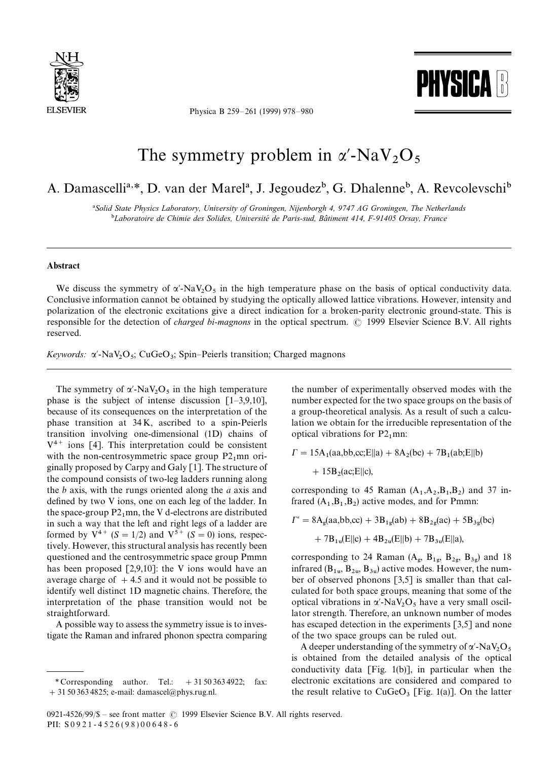

Physica B 259*—*261 (1999) 978*—*980



## The symmetry problem in  $\alpha'$ -NaV<sub>2</sub>O<sub>5</sub>

## A. Damascelli<sup>a,\*</sup>, D. van der Marel<sup>a</sup>, J. Jegoudez<sup>b</sup>, G. Dhalenne<sup>b</sup>, A. Revcolevschi<sup>b</sup>

!*Solid State Physics Laboratory, University of Groningen, Nijenborgh 4, 9747 AG Groningen, The Netherlands* <sup>b</sup>Laboratoire de Chimie des Solides, Université de Paris-sud, Bâtiment 414, F-91405 Orsay, France

## Abstract

We discuss the symmetry of  $\alpha'$ -NaV<sub>2</sub>O<sub>5</sub> in the high temperature phase on the basis of optical conductivity data. Conclusive information cannot be obtained by studying the optically allowed lattice vibrations. However, intensity and polarization of the electronic excitations give a direct indication for a broken-parity electronic ground-state. This is responsible for the detection of *charged bi-magnons* in the optical spectrum. © 1999 Elsevier Science B.V. All rights reserved.

*Keywords:* α'-NaV<sub>2</sub>O<sub>5</sub>; CuGeO<sub>3</sub>; Spin–Peierls transition; Charged magnons

The symmetry of  $\alpha'$ -NaV<sub>2</sub>O<sub>5</sub> in the high temperature phase is the subject of intense discussion [1*—*3,9,10], because of its consequences on the interpretation of the phase transition at 34 K, ascribed to a spin-Peierls transition involving one-dimensional (1D) chains of  $V^{4+}$  ions [4]. This interpretation could be consistent with the non-centrosymmetric space group  $P2_1$ mn originally proposed by Carpy and Galy [1]. The structure of the compound consists of two-leg ladders running along the *b* axis, with the rungs oriented along the *a* axis and defined by two V ions, one on each leg of the ladder. In the space-group  $P2_1$ mn, the V d-electrons are distributed in such a way that the left and right legs of a ladder are formed by  $V^{4+}$  (*S* = 1/2) and  $V^{5+}$  (*S* = 0) ions, respectively. However, this structural analysis has recently been questioned and the centrosymmetric space group Pmmn has been proposed [2,9,10]: the V ions would have an average charge of  $+4.5$  and it would not be possible to identify well distinct 1D magnetic chains. Therefore, the interpretation of the phase transition would not be straightforward.

A possible way to assess the symmetry issue is to investigate the Raman and infrared phonon spectra comparing the number of experimentally observed modes with the number expected for the two space groups on the basis of a group-theoretical analysis. As a result of such a calculation we obtain for the irreducible representation of the optical vibrations for  $P2_1$ mn:

$$
\Gamma = 15A_1(aa, bb, cc; E||a) + 8A_2(bc) + 7B_1(ab; E||b)
$$

 $+ 15B_2(ac; E||c)$ ,

corresponding to 45 Raman  $(A_1, A_2, B_1, B_2)$  and 37 infrared  $(A_1, B_1, B_2)$  active modes, and for Pmmn:

$$
I' = 8A_g(aa, bb, cc) + 3B_{1g}(ab) + 8B_{2g}(ac) + 5B_{3g}(bc) + 7B_{1u}(E||c) + 4B_{2u}(E||b) + 7B_{3u}(E||a),
$$

corresponding to 24 Raman  $(A_g, B_{1g}, B_{2g}, B_{3g})$  and 18 infrared  $(B_{1u}, B_{2u}, B_{3u})$  active modes. However, the number of observed phonons [3,5] is smaller than that calculated for both space groups, meaning that some of the optical vibrations in  $\alpha'$ -NaV<sub>2</sub>O<sub>5</sub> have a very small oscillator strength. Therefore, an unknown number of modes has escaped detection in the experiments [3,5] and none of the two space groups can be ruled out.

A deeper understanding of the symmetry of  $\alpha'$ -NaV<sub>2</sub>O<sub>5</sub> is obtained from the detailed analysis of the optical conductivity data [Fig. 1(b)], in particular when the electronic excitations are considered and compared to the result relative to  $CuGeO<sub>3</sub>$  [Fig. 1(a)]. On the latter

<sup>\*</sup> Corresponding author. Tel.:  $+31503634922$ ; fax: #31 50 363 4825; e-mail: damascel@phys.rug.nl.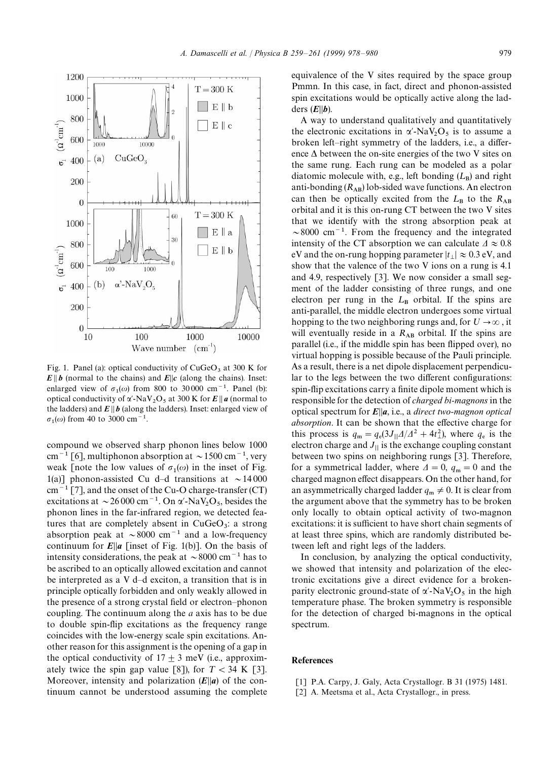

Fig. 1. Panel (a): optical conductivity of  $CuGeO<sub>3</sub>$  at 300 K for  $E\|b$  (normal to the chains) and  $E\|c$  (along the chains). Inset: enlarged view of  $\sigma_1(\omega)$  from 800 to 30000 cm<sup>-1</sup>. Panel (b): optical conductivity of  $\alpha'$ -NaV<sub>2</sub>O<sub>5</sub> at 300 K for *E* || *a* (normal to applical conductivity of  $\alpha'$ -NaV<sub>2</sub>O<sub>5</sub> at 300 K for *E* || *a* (normal to the ladders) and  $E \parallel b$  (along the ladders). Inset: enlarged view of  $\sigma_1(\omega)$  from 40 to 3000 cm<sup>-1</sup>.

compound we observed sharp phonon lines below 1000 cm<sup>-1</sup> [6], multiphonon absorption at  $\sim$ 1500 cm<sup>-1</sup>, very weak [note the low values of  $\sigma_1(\omega)$  in the inset of Fig. 1(a)] phonon-assisted Cu d-d transitions at  $\sim$  14000  $cm^{-1}$  [7], and the onset of the Cu-O charge-transfer (CT) excitations at  $\sim$  26 000 cm<sup>-1</sup>. On  $\alpha'$ -NaV<sub>2</sub>O<sub>5</sub>, besides the phonon lines in the far-infrared region, we detected features that are completely absent in  $CuGeO<sub>3</sub>$ : a strong absorption peak at  $\sim 8000 \text{ cm}^{-1}$  and a low-frequency continuum for  $E||a$  [inset of Fig. 1(b)]. On the basis of intensity considerations, the peak at  $\sim$ 8000 cm<sup>-1</sup> has to be ascribed to an optically allowed excitation and cannot be interpreted as a V d*—*d exciton, a transition that is in principle optically forbidden and only weakly allowed in the presence of a strong crystal field or electron*—*phonon coupling. The continuum along the *a* axis has to be due to double spin-flip excitations as the frequency range coincides with the low-energy scale spin excitations. Another reason for this assignment is the opening of a gap in the optical conductivity of  $17 \pm 3$  meV (i.e., approximately twice the spin gap value [8]), for  $T < 34$  K [3]. Moreover, intensity and polarization  $(E||a)$  of the continuum cannot be understood assuming the complete

equivalence of the V sites required by the space group Pmmn. In this case, in fact, direct and phonon-assisted spin excitations would be optically active along the ladders  $(E||b)$ .

A way to understand qualitatively and quantitatively the electronic excitations in  $\alpha'$ -NaV<sub>2</sub>O<sub>5</sub> is to assume a broken left*—*right symmetry of the ladders, i.e., a difference  $\Delta$  between the on-site energies of the two V sites on the same rung. Each rung can be modeled as a polar diatomic molecule with, e.g., left bonding  $(L_B)$  and right anti-bonding  $(R_{AB})$  lob-sided wave functions. An electron can then be optically excited from the  $L_B$  to the  $R_{AB}$  orbital and it is this on-rung CT between the two V sites that we identify with the strong absorption peak at  $\sim$ 8000 cm<sup>-1</sup>. From the frequency and the integrated intensity of the CT absorption we can calculate  $\Delta \approx 0.8$ eV and the on-rung hopping parameter  $|t_{\perp}| \approx 0.3$  eV, and show that the valence of the two V ions on a rung is 4.1 and 4.9, respectively [3]. We now consider a small segment of the ladder consisting of three rungs, and one electron per rung in the  $L<sub>B</sub>$  orbital. If the spins are anti-parallel, the middle electron undergoes some virtual hopping to the two neighboring rungs and, for  $U\rightarrow\infty$ , it will eventually reside in a R<sub>AB</sub> orbital. If the spins are parallel (i.e., if the middle spin has been flipped over), no virtual hopping is possible because of the Pauli principle. As a result, there is a net dipole displacement perpendicular to the legs between the two different configurations: spin-flip excitations carry a finite dipole moment which is responsible for the detection of *charged bi-magnons* in the optical spectrum for  $E||a$ , i.e., a *direct two-magnon optical absorption*. It can be shown that the effective charge for this process is  $q_m = q_e(3J_{||}A/A^2 + 4t_{\perp}^2)$ , where  $q_e$  is the electron charge and  $J_{\parallel}$  is the exchange coupling constant between two spins on neighboring rungs [3]. Therefore, for a symmetrical ladder, where  $\Delta = 0$ ,  $q_m = 0$  and the charged magnon effect disappears. On the other hand, for an asymmetrically charged ladder  $q_m \neq 0$ . It is clear from the argument above that the symmetry has to be broken only locally to obtain optical activity of two-magnon excitations: it is sufficient to have short chain segments of at least three spins, which are randomly distributed between left and right legs of the ladders.

In conclusion, by analyzing the optical conductivity, we showed that intensity and polarization of the electronic excitations give a direct evidence for a brokenparity electronic ground-state of  $\alpha'$ -NaV<sub>2</sub>O<sub>5</sub> in the high temperature phase. The broken symmetry is responsible for the detection of charged bi-magnons in the optical spectrum.

## References

- [1] P.A. Carpy, J. Galy, Acta Crystallogr. B 31 (1975) 1481.
- [2] A. Meetsma et al., Acta Crystallogr., in press.